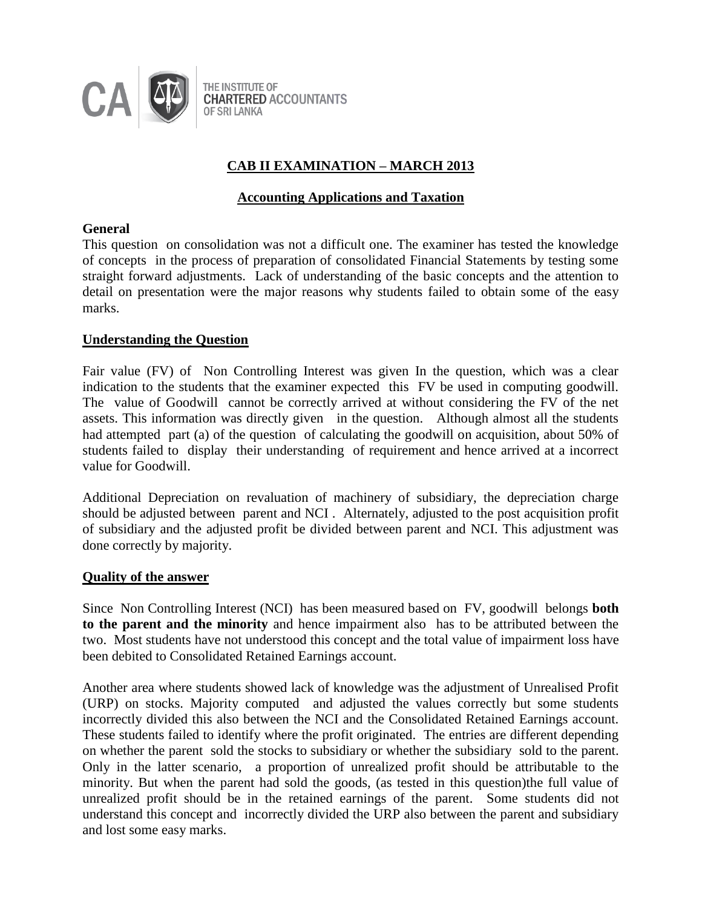

# **CAB II EXAMINATION – MARCH 2013**

# **Accounting Applications and Taxation**

# **General**

This question on consolidation was not a difficult one. The examiner has tested the knowledge of concepts in the process of preparation of consolidated Financial Statements by testing some straight forward adjustments. Lack of understanding of the basic concepts and the attention to detail on presentation were the major reasons why students failed to obtain some of the easy marks.

# **Understanding the Question**

Fair value (FV) of Non Controlling Interest was given In the question, which was a clear indication to the students that the examiner expected this FV be used in computing goodwill. The value of Goodwill cannot be correctly arrived at without considering the FV of the net assets. This information was directly given in the question. Although almost all the students had attempted part (a) of the question of calculating the goodwill on acquisition, about 50% of students failed to display their understanding of requirement and hence arrived at a incorrect value for Goodwill.

Additional Depreciation on revaluation of machinery of subsidiary, the depreciation charge should be adjusted between parent and NCI . Alternately, adjusted to the post acquisition profit of subsidiary and the adjusted profit be divided between parent and NCI. This adjustment was done correctly by majority.

### **Quality of the answer**

Since Non Controlling Interest (NCI) has been measured based on FV, goodwill belongs **both to the parent and the minority** and hence impairment also has to be attributed between the two. Most students have not understood this concept and the total value of impairment loss have been debited to Consolidated Retained Earnings account.

Another area where students showed lack of knowledge was the adjustment of Unrealised Profit (URP) on stocks. Majority computed and adjusted the values correctly but some students incorrectly divided this also between the NCI and the Consolidated Retained Earnings account. These students failed to identify where the profit originated. The entries are different depending on whether the parent sold the stocks to subsidiary or whether the subsidiary sold to the parent. Only in the latter scenario, a proportion of unrealized profit should be attributable to the minority. But when the parent had sold the goods, (as tested in this question)the full value of unrealized profit should be in the retained earnings of the parent. Some students did not understand this concept and incorrectly divided the URP also between the parent and subsidiary and lost some easy marks.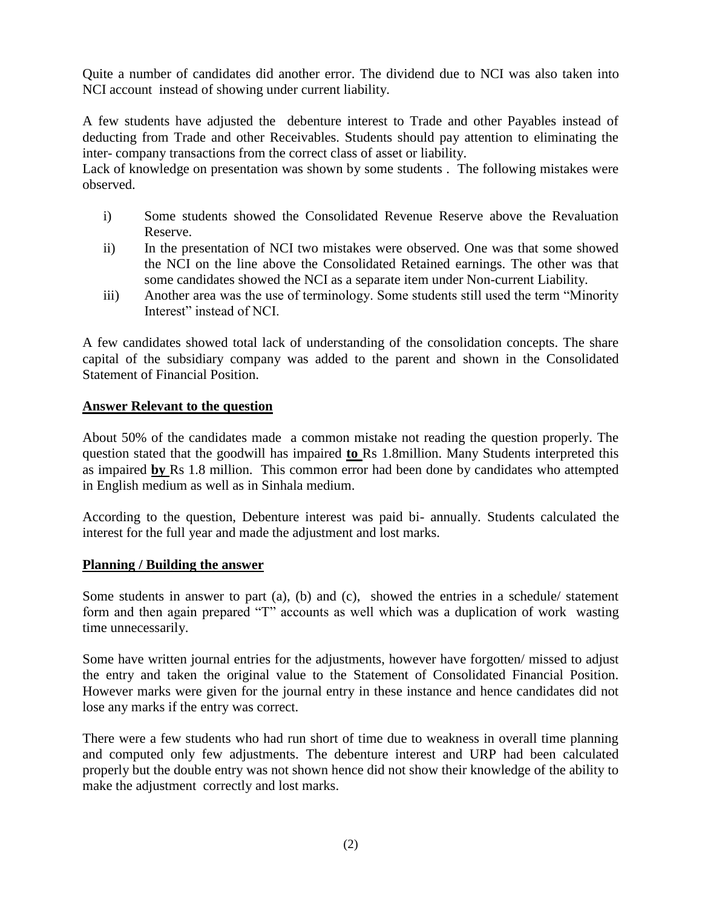Quite a number of candidates did another error. The dividend due to NCI was also taken into NCI account instead of showing under current liability.

A few students have adjusted the debenture interest to Trade and other Payables instead of deducting from Trade and other Receivables. Students should pay attention to eliminating the inter- company transactions from the correct class of asset or liability.

Lack of knowledge on presentation was shown by some students . The following mistakes were observed.

- i) Some students showed the Consolidated Revenue Reserve above the Revaluation Reserve.
- ii) In the presentation of NCI two mistakes were observed. One was that some showed the NCI on the line above the Consolidated Retained earnings. The other was that some candidates showed the NCI as a separate item under Non-current Liability.
- iii) Another area was the use of terminology. Some students still used the term "Minority Interest" instead of NCI.

A few candidates showed total lack of understanding of the consolidation concepts. The share capital of the subsidiary company was added to the parent and shown in the Consolidated Statement of Financial Position.

# **Answer Relevant to the question**

About 50% of the candidates made a common mistake not reading the question properly. The question stated that the goodwill has impaired **to** Rs 1.8million. Many Students interpreted this as impaired **by** Rs 1.8 million. This common error had been done by candidates who attempted in English medium as well as in Sinhala medium.

According to the question, Debenture interest was paid bi- annually. Students calculated the interest for the full year and made the adjustment and lost marks.

# **Planning / Building the answer**

Some students in answer to part (a), (b) and (c), showed the entries in a schedule/ statement form and then again prepared "T" accounts as well which was a duplication of work wasting time unnecessarily.

Some have written journal entries for the adjustments, however have forgotten/ missed to adjust the entry and taken the original value to the Statement of Consolidated Financial Position. However marks were given for the journal entry in these instance and hence candidates did not lose any marks if the entry was correct.

There were a few students who had run short of time due to weakness in overall time planning and computed only few adjustments. The debenture interest and URP had been calculated properly but the double entry was not shown hence did not show their knowledge of the ability to make the adjustment correctly and lost marks.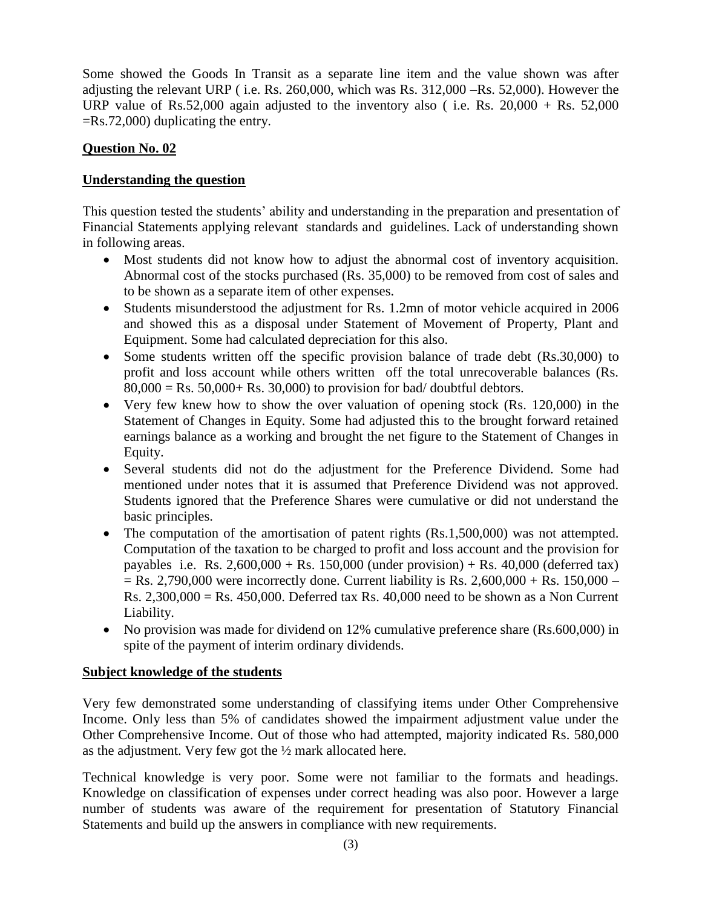Some showed the Goods In Transit as a separate line item and the value shown was after adjusting the relevant URP ( i.e. Rs. 260,000, which was Rs. 312,000 –Rs. 52,000). However the URP value of Rs.52,000 again adjusted to the inventory also (i.e. Rs.  $20,000 + \text{Rs. } 52,000$ ) =Rs.72,000) duplicating the entry.

# **Question No. 02**

# **Understanding the question**

This question tested the students' ability and understanding in the preparation and presentation of Financial Statements applying relevant standards and guidelines. Lack of understanding shown in following areas.

- Most students did not know how to adjust the abnormal cost of inventory acquisition. Abnormal cost of the stocks purchased (Rs. 35,000) to be removed from cost of sales and to be shown as a separate item of other expenses.
- Students misunderstood the adjustment for Rs. 1.2mn of motor vehicle acquired in 2006 and showed this as a disposal under Statement of Movement of Property, Plant and Equipment. Some had calculated depreciation for this also.
- Some students written off the specific provision balance of trade debt (Rs.30,000) to profit and loss account while others written off the total unrecoverable balances (Rs.  $80,000 = \text{Rs. } 50,000 + \text{Rs. } 30,000$  to provision for bad/doubtful debtors.
- Very few knew how to show the over valuation of opening stock (Rs. 120,000) in the Statement of Changes in Equity. Some had adjusted this to the brought forward retained earnings balance as a working and brought the net figure to the Statement of Changes in Equity.
- Several students did not do the adjustment for the Preference Dividend. Some had mentioned under notes that it is assumed that Preference Dividend was not approved. Students ignored that the Preference Shares were cumulative or did not understand the basic principles.
- The computation of the amortisation of patent rights (Rs.1,500,000) was not attempted. Computation of the taxation to be charged to profit and loss account and the provision for payables i.e. Rs.  $2,600,000 +$  Rs. 150,000 (under provision) + Rs. 40,000 (deferred tax)  $=$  Rs. 2,790,000 were incorrectly done. Current liability is Rs. 2,600,000 + Rs. 150,000 – Rs. 2,300,000 = Rs. 450,000. Deferred tax Rs. 40,000 need to be shown as a Non Current Liability.
- No provision was made for dividend on 12% cumulative preference share (Rs.600,000) in spite of the payment of interim ordinary dividends.

# **Subject knowledge of the students**

Very few demonstrated some understanding of classifying items under Other Comprehensive Income. Only less than 5% of candidates showed the impairment adjustment value under the Other Comprehensive Income. Out of those who had attempted, majority indicated Rs. 580,000 as the adjustment. Very few got the ½ mark allocated here.

Technical knowledge is very poor. Some were not familiar to the formats and headings. Knowledge on classification of expenses under correct heading was also poor. However a large number of students was aware of the requirement for presentation of Statutory Financial Statements and build up the answers in compliance with new requirements.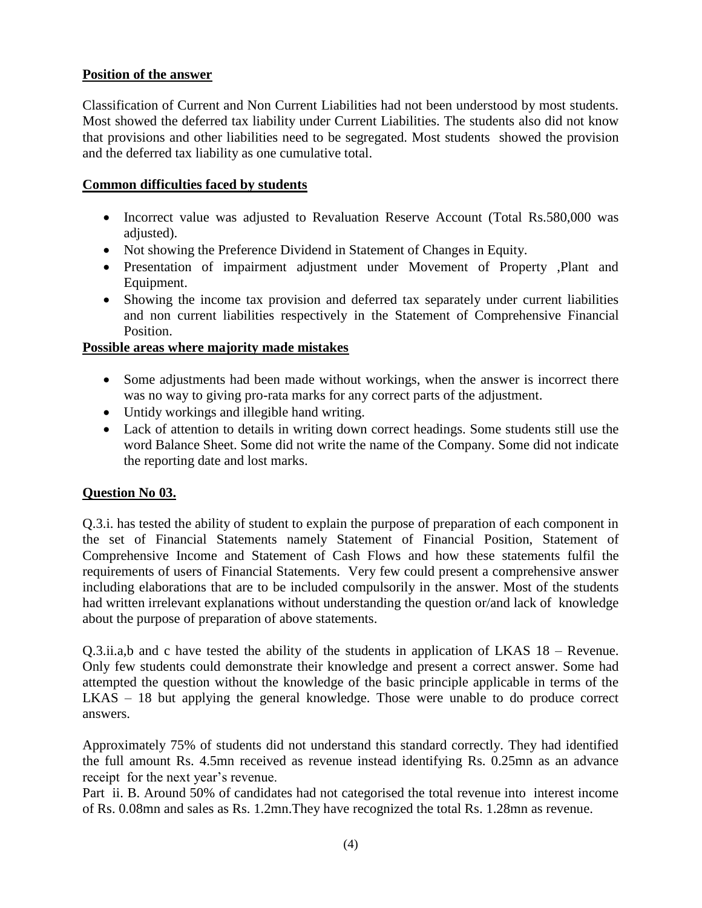# **Position of the answer**

Classification of Current and Non Current Liabilities had not been understood by most students. Most showed the deferred tax liability under Current Liabilities. The students also did not know that provisions and other liabilities need to be segregated. Most students showed the provision and the deferred tax liability as one cumulative total.

# **Common difficulties faced by students**

- Incorrect value was adjusted to Revaluation Reserve Account (Total Rs.580,000 was adjusted).
- Not showing the Preference Dividend in Statement of Changes in Equity.
- Presentation of impairment adjustment under Movement of Property ,Plant and Equipment.
- Showing the income tax provision and deferred tax separately under current liabilities and non current liabilities respectively in the Statement of Comprehensive Financial Position.

# **Possible areas where majority made mistakes**

- Some adjustments had been made without workings, when the answer is incorrect there was no way to giving pro-rata marks for any correct parts of the adjustment.
- Untidy workings and illegible hand writing.
- Lack of attention to details in writing down correct headings. Some students still use the word Balance Sheet. Some did not write the name of the Company. Some did not indicate the reporting date and lost marks.

# **Question No 03.**

Q.3.i. has tested the ability of student to explain the purpose of preparation of each component in the set of Financial Statements namely Statement of Financial Position, Statement of Comprehensive Income and Statement of Cash Flows and how these statements fulfil the requirements of users of Financial Statements. Very few could present a comprehensive answer including elaborations that are to be included compulsorily in the answer. Most of the students had written irrelevant explanations without understanding the question or/and lack of knowledge about the purpose of preparation of above statements.

Q.3.ii.a,b and c have tested the ability of the students in application of LKAS 18 – Revenue. Only few students could demonstrate their knowledge and present a correct answer. Some had attempted the question without the knowledge of the basic principle applicable in terms of the LKAS – 18 but applying the general knowledge. Those were unable to do produce correct answers.

Approximately 75% of students did not understand this standard correctly. They had identified the full amount Rs. 4.5mn received as revenue instead identifying Rs. 0.25mn as an advance receipt for the next year's revenue.

Part ii. B. Around 50% of candidates had not categorised the total revenue into interest income of Rs. 0.08mn and sales as Rs. 1.2mn.They have recognized the total Rs. 1.28mn as revenue.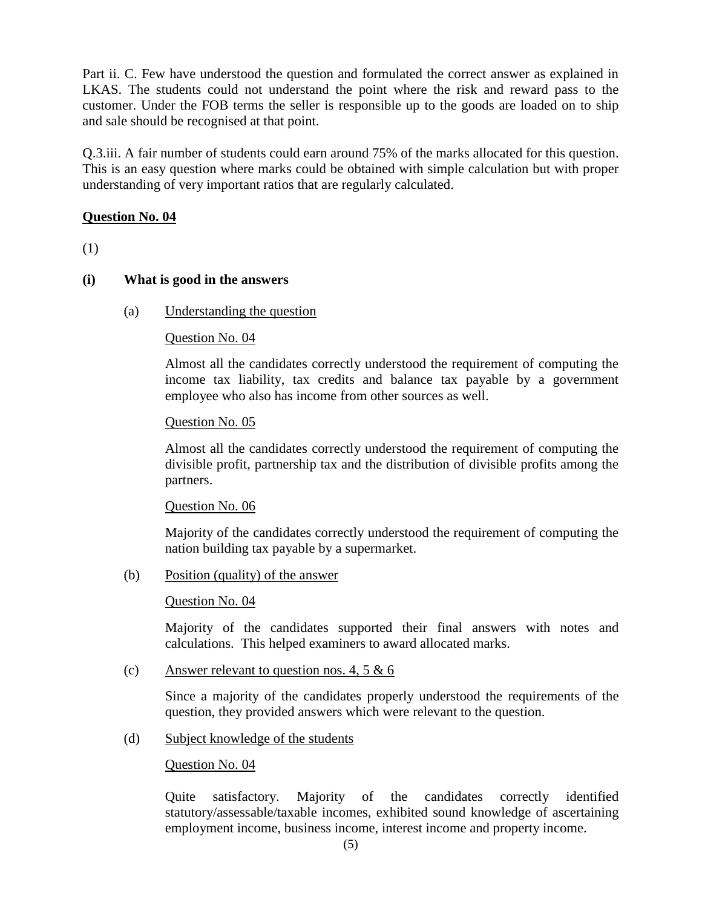Part ii. C. Few have understood the question and formulated the correct answer as explained in LKAS. The students could not understand the point where the risk and reward pass to the customer. Under the FOB terms the seller is responsible up to the goods are loaded on to ship and sale should be recognised at that point.

Q.3.iii. A fair number of students could earn around 75% of the marks allocated for this question. This is an easy question where marks could be obtained with simple calculation but with proper understanding of very important ratios that are regularly calculated.

# **Question No. 04**

(1)

# **(i) What is good in the answers**

(a) Understanding the question

# Question No. 04

Almost all the candidates correctly understood the requirement of computing the income tax liability, tax credits and balance tax payable by a government employee who also has income from other sources as well.

# Question No. 05

Almost all the candidates correctly understood the requirement of computing the divisible profit, partnership tax and the distribution of divisible profits among the partners.

# Question No. 06

Majority of the candidates correctly understood the requirement of computing the nation building tax payable by a supermarket.

(b) Position (quality) of the answer

# Question No. 04

Majority of the candidates supported their final answers with notes and calculations. This helped examiners to award allocated marks.

(c) Answer relevant to question nos. 4, 5 & 6

Since a majority of the candidates properly understood the requirements of the question, they provided answers which were relevant to the question.

(d) Subject knowledge of the students

# Question No. 04

Quite satisfactory. Majority of the candidates correctly identified statutory/assessable/taxable incomes, exhibited sound knowledge of ascertaining employment income, business income, interest income and property income.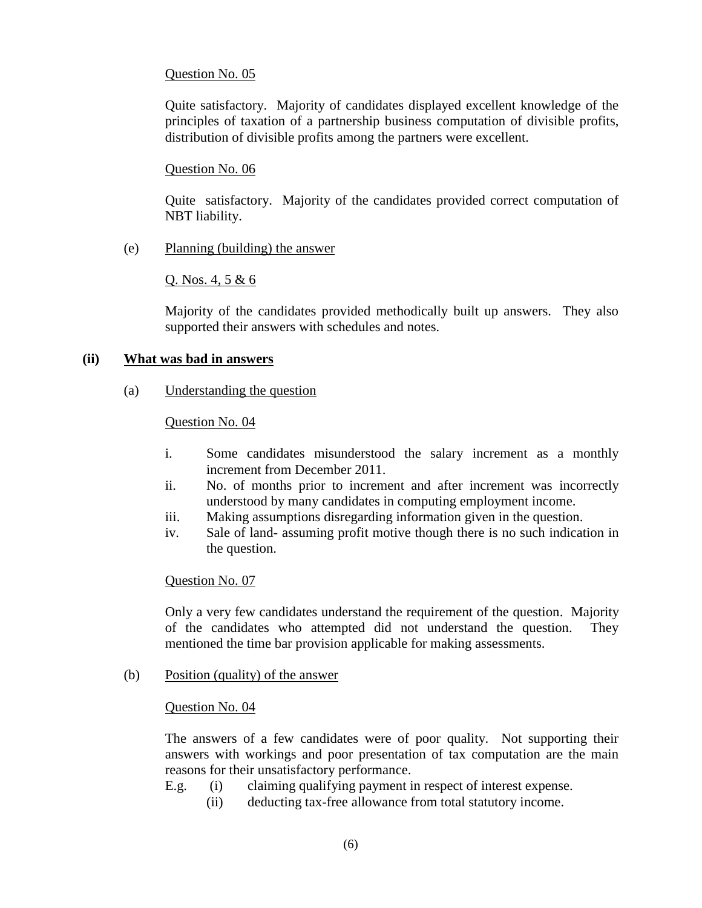# Question No. 05

Quite satisfactory. Majority of candidates displayed excellent knowledge of the principles of taxation of a partnership business computation of divisible profits, distribution of divisible profits among the partners were excellent.

# Question No. 06

Quite satisfactory. Majority of the candidates provided correct computation of NBT liability.

(e) Planning (building) the answer

Q. Nos. 4, 5 & 6

Majority of the candidates provided methodically built up answers. They also supported their answers with schedules and notes.

### **(ii) What was bad in answers**

(a) Understanding the question

### Question No. 04

- i. Some candidates misunderstood the salary increment as a monthly increment from December 2011.
- ii. No. of months prior to increment and after increment was incorrectly understood by many candidates in computing employment income.
- iii. Making assumptions disregarding information given in the question.
- iv. Sale of land- assuming profit motive though there is no such indication in the question.

### Question No. 07

Only a very few candidates understand the requirement of the question. Majority of the candidates who attempted did not understand the question. They mentioned the time bar provision applicable for making assessments.

(b) Position (quality) of the answer

### Question No. 04

The answers of a few candidates were of poor quality. Not supporting their answers with workings and poor presentation of tax computation are the main reasons for their unsatisfactory performance.

- E.g. (i) claiming qualifying payment in respect of interest expense.
	- (ii) deducting tax-free allowance from total statutory income.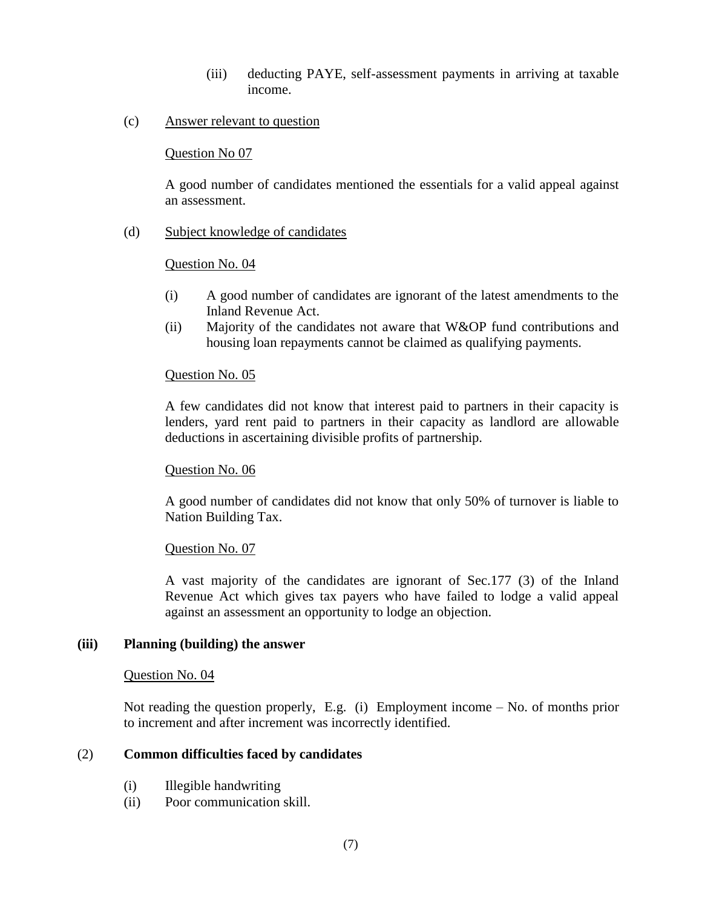- (iii) deducting PAYE, self-assessment payments in arriving at taxable income.
- (c) Answer relevant to question

### Question No 07

A good number of candidates mentioned the essentials for a valid appeal against an assessment.

(d) Subject knowledge of candidates

# Question No. 04

- (i) A good number of candidates are ignorant of the latest amendments to the Inland Revenue Act.
- (ii) Majority of the candidates not aware that W&OP fund contributions and housing loan repayments cannot be claimed as qualifying payments.

# Question No. 05

A few candidates did not know that interest paid to partners in their capacity is lenders, yard rent paid to partners in their capacity as landlord are allowable deductions in ascertaining divisible profits of partnership.

# Question No. 06

A good number of candidates did not know that only 50% of turnover is liable to Nation Building Tax.

# Question No. 07

A vast majority of the candidates are ignorant of Sec.177 (3) of the Inland Revenue Act which gives tax payers who have failed to lodge a valid appeal against an assessment an opportunity to lodge an objection.

### **(iii) Planning (building) the answer**

### Question No. 04

Not reading the question properly, E.g. (i) Employment income – No. of months prior to increment and after increment was incorrectly identified.

# (2) **Common difficulties faced by candidates**

- (i) Illegible handwriting
- (ii) Poor communication skill.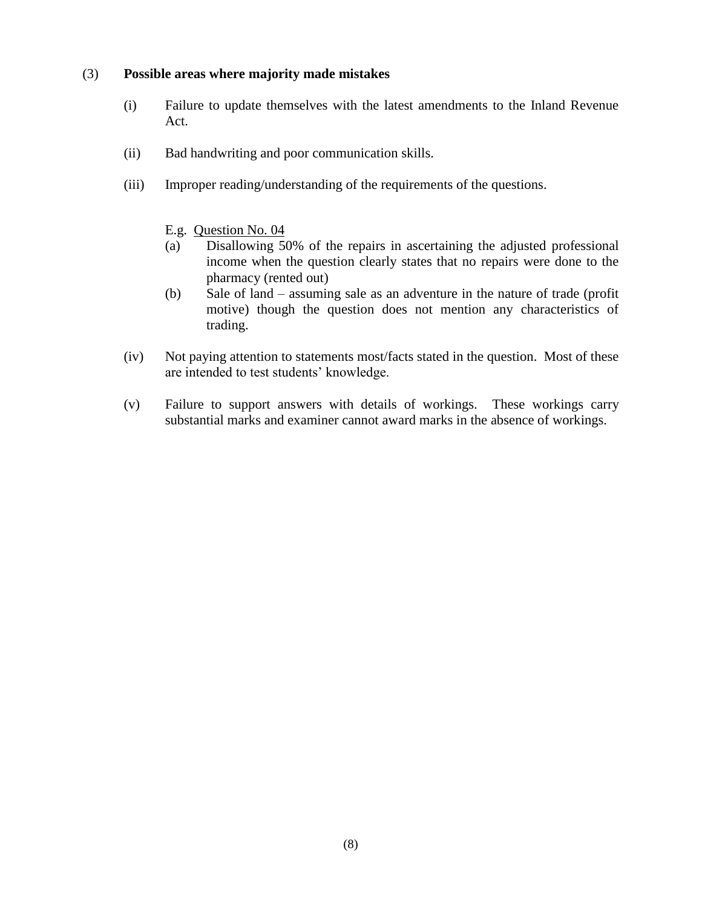### (3) **Possible areas where majority made mistakes**

- (i) Failure to update themselves with the latest amendments to the Inland Revenue Act.
- (ii) Bad handwriting and poor communication skills.
- (iii) Improper reading/understanding of the requirements of the questions.
	- E.g. Question No. 04
	- (a) Disallowing 50% of the repairs in ascertaining the adjusted professional income when the question clearly states that no repairs were done to the pharmacy (rented out)
	- (b) Sale of land assuming sale as an adventure in the nature of trade (profit motive) though the question does not mention any characteristics of trading.
- (iv) Not paying attention to statements most/facts stated in the question. Most of these are intended to test students' knowledge.
- (v) Failure to support answers with details of workings. These workings carry substantial marks and examiner cannot award marks in the absence of workings.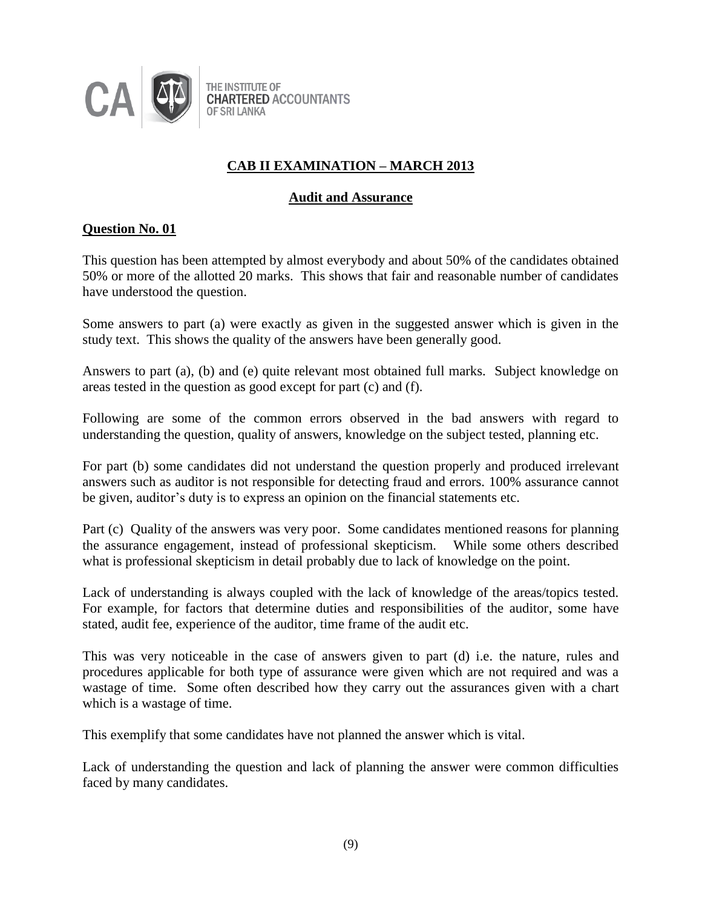

# **CAB II EXAMINATION – MARCH 2013**

# **Audit and Assurance**

# **Question No. 01**

This question has been attempted by almost everybody and about 50% of the candidates obtained 50% or more of the allotted 20 marks. This shows that fair and reasonable number of candidates have understood the question.

Some answers to part (a) were exactly as given in the suggested answer which is given in the study text. This shows the quality of the answers have been generally good.

Answers to part (a), (b) and (e) quite relevant most obtained full marks. Subject knowledge on areas tested in the question as good except for part (c) and (f).

Following are some of the common errors observed in the bad answers with regard to understanding the question, quality of answers, knowledge on the subject tested, planning etc.

For part (b) some candidates did not understand the question properly and produced irrelevant answers such as auditor is not responsible for detecting fraud and errors. 100% assurance cannot be given, auditor's duty is to express an opinion on the financial statements etc.

Part (c) Quality of the answers was very poor. Some candidates mentioned reasons for planning the assurance engagement, instead of professional skepticism. While some others described what is professional skepticism in detail probably due to lack of knowledge on the point.

Lack of understanding is always coupled with the lack of knowledge of the areas/topics tested. For example, for factors that determine duties and responsibilities of the auditor, some have stated, audit fee, experience of the auditor, time frame of the audit etc.

This was very noticeable in the case of answers given to part (d) i.e. the nature, rules and procedures applicable for both type of assurance were given which are not required and was a wastage of time. Some often described how they carry out the assurances given with a chart which is a wastage of time.

This exemplify that some candidates have not planned the answer which is vital.

Lack of understanding the question and lack of planning the answer were common difficulties faced by many candidates.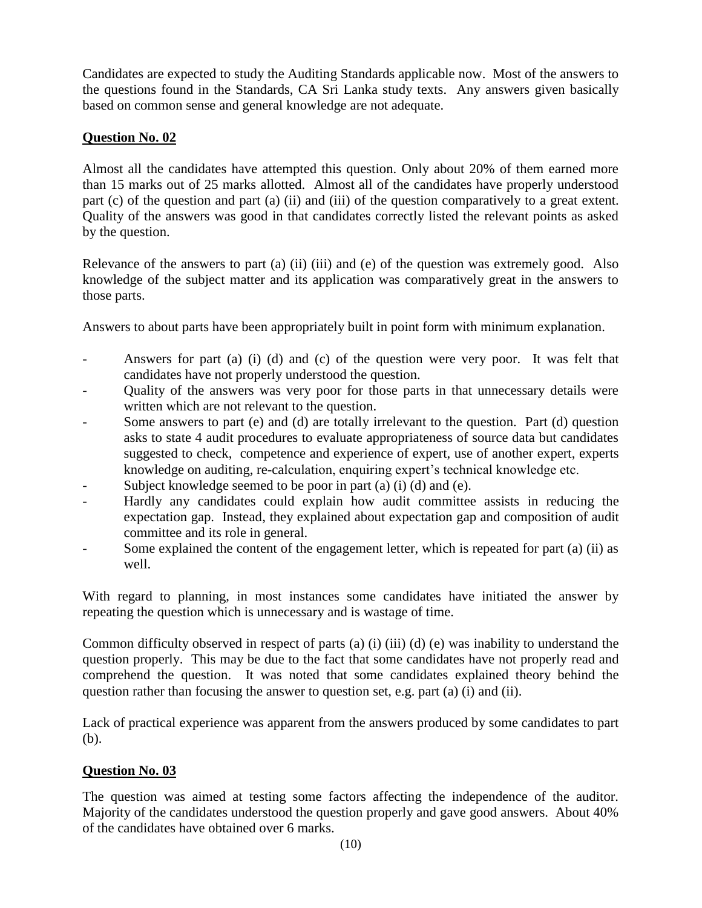Candidates are expected to study the Auditing Standards applicable now. Most of the answers to the questions found in the Standards, CA Sri Lanka study texts. Any answers given basically based on common sense and general knowledge are not adequate.

# **Question No. 02**

Almost all the candidates have attempted this question. Only about 20% of them earned more than 15 marks out of 25 marks allotted. Almost all of the candidates have properly understood part (c) of the question and part (a) (ii) and (iii) of the question comparatively to a great extent. Quality of the answers was good in that candidates correctly listed the relevant points as asked by the question.

Relevance of the answers to part (a) (ii) (iii) and (e) of the question was extremely good. Also knowledge of the subject matter and its application was comparatively great in the answers to those parts.

Answers to about parts have been appropriately built in point form with minimum explanation.

- Answers for part (a) (i) (d) and (c) of the question were very poor. It was felt that candidates have not properly understood the question.
- Quality of the answers was very poor for those parts in that unnecessary details were written which are not relevant to the question.
- Some answers to part (e) and (d) are totally irrelevant to the question. Part (d) question asks to state 4 audit procedures to evaluate appropriateness of source data but candidates suggested to check, competence and experience of expert, use of another expert, experts knowledge on auditing, re-calculation, enquiring expert's technical knowledge etc.
- Subject knowledge seemed to be poor in part (a) (i) (d) and (e).
- Hardly any candidates could explain how audit committee assists in reducing the expectation gap. Instead, they explained about expectation gap and composition of audit committee and its role in general.
- Some explained the content of the engagement letter, which is repeated for part (a) (ii) as well.

With regard to planning, in most instances some candidates have initiated the answer by repeating the question which is unnecessary and is wastage of time.

Common difficulty observed in respect of parts (a) (i) (iii) (d) (e) was inability to understand the question properly. This may be due to the fact that some candidates have not properly read and comprehend the question. It was noted that some candidates explained theory behind the question rather than focusing the answer to question set, e.g. part (a) (i) and (ii).

Lack of practical experience was apparent from the answers produced by some candidates to part (b).

# **Question No. 03**

The question was aimed at testing some factors affecting the independence of the auditor. Majority of the candidates understood the question properly and gave good answers. About 40% of the candidates have obtained over 6 marks.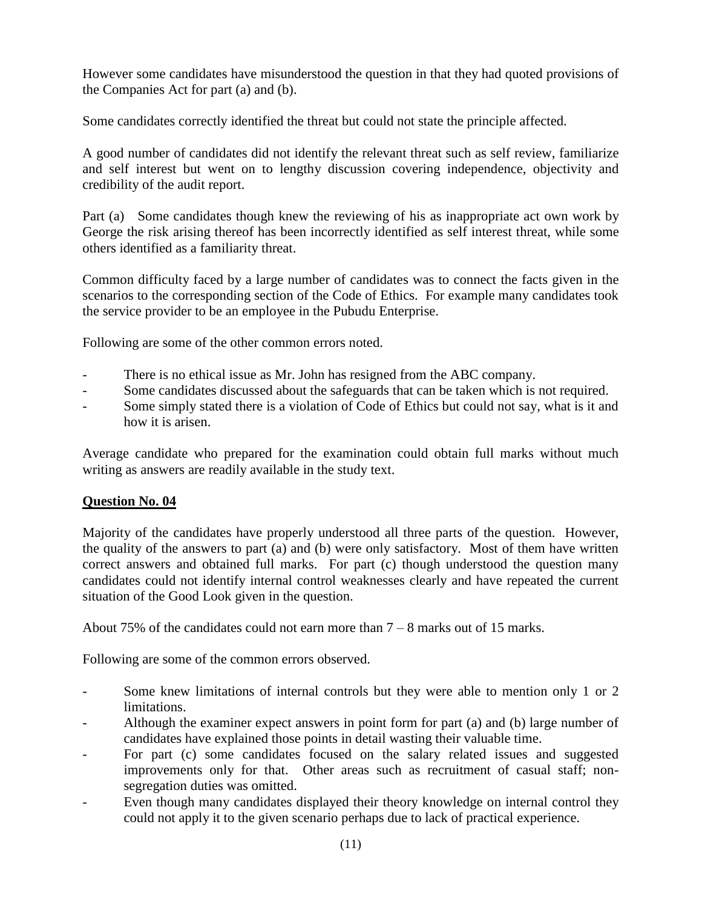However some candidates have misunderstood the question in that they had quoted provisions of the Companies Act for part (a) and (b).

Some candidates correctly identified the threat but could not state the principle affected.

A good number of candidates did not identify the relevant threat such as self review, familiarize and self interest but went on to lengthy discussion covering independence, objectivity and credibility of the audit report.

Part (a) Some candidates though knew the reviewing of his as inappropriate act own work by George the risk arising thereof has been incorrectly identified as self interest threat, while some others identified as a familiarity threat.

Common difficulty faced by a large number of candidates was to connect the facts given in the scenarios to the corresponding section of the Code of Ethics. For example many candidates took the service provider to be an employee in the Pubudu Enterprise.

Following are some of the other common errors noted.

- There is no ethical issue as Mr. John has resigned from the ABC company.
- Some candidates discussed about the safeguards that can be taken which is not required.
- Some simply stated there is a violation of Code of Ethics but could not say, what is it and how it is arisen.

Average candidate who prepared for the examination could obtain full marks without much writing as answers are readily available in the study text.

# **Question No. 04**

Majority of the candidates have properly understood all three parts of the question. However, the quality of the answers to part (a) and (b) were only satisfactory. Most of them have written correct answers and obtained full marks. For part (c) though understood the question many candidates could not identify internal control weaknesses clearly and have repeated the current situation of the Good Look given in the question.

About 75% of the candidates could not earn more than  $7 - 8$  marks out of 15 marks.

Following are some of the common errors observed.

- Some knew limitations of internal controls but they were able to mention only 1 or 2 limitations.
- Although the examiner expect answers in point form for part (a) and (b) large number of candidates have explained those points in detail wasting their valuable time.
- For part (c) some candidates focused on the salary related issues and suggested improvements only for that. Other areas such as recruitment of casual staff; nonsegregation duties was omitted.
- Even though many candidates displayed their theory knowledge on internal control they could not apply it to the given scenario perhaps due to lack of practical experience.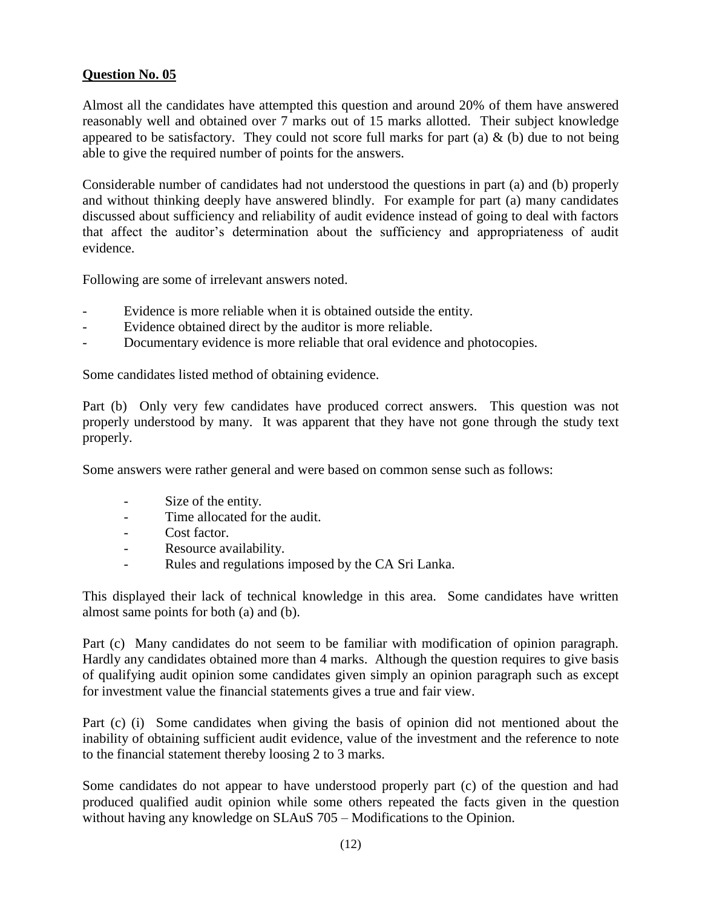# **Question No. 05**

Almost all the candidates have attempted this question and around 20% of them have answered reasonably well and obtained over 7 marks out of 15 marks allotted. Their subject knowledge appeared to be satisfactory. They could not score full marks for part (a)  $\&$  (b) due to not being able to give the required number of points for the answers.

Considerable number of candidates had not understood the questions in part (a) and (b) properly and without thinking deeply have answered blindly. For example for part (a) many candidates discussed about sufficiency and reliability of audit evidence instead of going to deal with factors that affect the auditor's determination about the sufficiency and appropriateness of audit evidence.

Following are some of irrelevant answers noted.

- Evidence is more reliable when it is obtained outside the entity.
- Evidence obtained direct by the auditor is more reliable.
- Documentary evidence is more reliable that oral evidence and photocopies.

Some candidates listed method of obtaining evidence.

Part (b) Only very few candidates have produced correct answers. This question was not properly understood by many. It was apparent that they have not gone through the study text properly.

Some answers were rather general and were based on common sense such as follows:

- Size of the entity.
- Time allocated for the audit.
- Cost factor.
- Resource availability.
- Rules and regulations imposed by the CA Sri Lanka.

This displayed their lack of technical knowledge in this area. Some candidates have written almost same points for both (a) and (b).

Part (c) Many candidates do not seem to be familiar with modification of opinion paragraph. Hardly any candidates obtained more than 4 marks. Although the question requires to give basis of qualifying audit opinion some candidates given simply an opinion paragraph such as except for investment value the financial statements gives a true and fair view.

Part (c) (i) Some candidates when giving the basis of opinion did not mentioned about the inability of obtaining sufficient audit evidence, value of the investment and the reference to note to the financial statement thereby loosing 2 to 3 marks.

Some candidates do not appear to have understood properly part (c) of the question and had produced qualified audit opinion while some others repeated the facts given in the question without having any knowledge on SLAuS 705 – Modifications to the Opinion.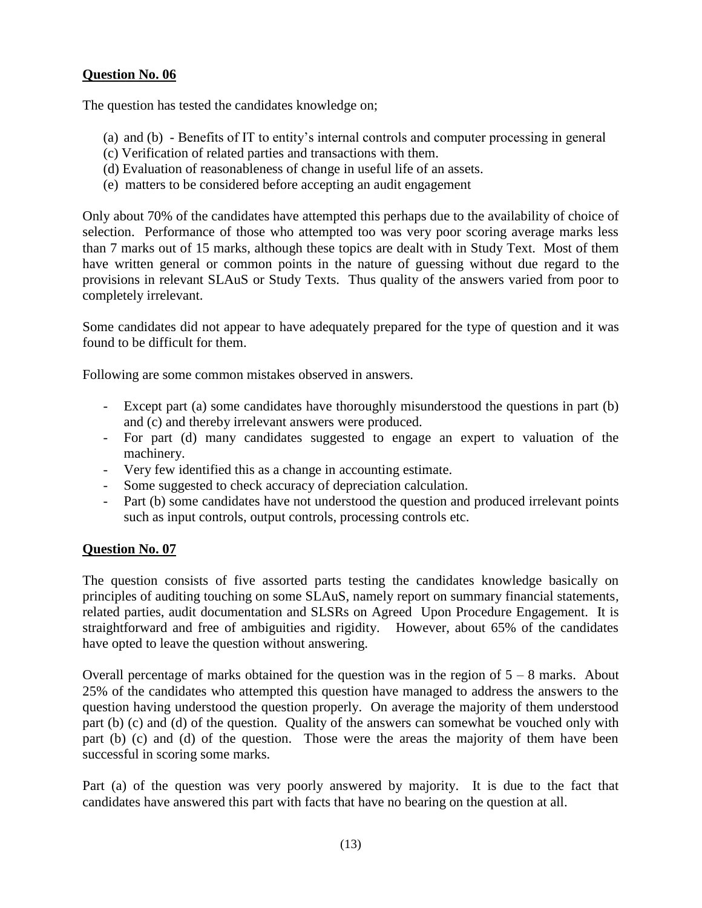# **Question No. 06**

The question has tested the candidates knowledge on;

- (a) and (b) Benefits of IT to entity's internal controls and computer processing in general
- (c) Verification of related parties and transactions with them.
- (d) Evaluation of reasonableness of change in useful life of an assets.
- (e) matters to be considered before accepting an audit engagement

Only about 70% of the candidates have attempted this perhaps due to the availability of choice of selection. Performance of those who attempted too was very poor scoring average marks less than 7 marks out of 15 marks, although these topics are dealt with in Study Text. Most of them have written general or common points in the nature of guessing without due regard to the provisions in relevant SLAuS or Study Texts. Thus quality of the answers varied from poor to completely irrelevant.

Some candidates did not appear to have adequately prepared for the type of question and it was found to be difficult for them.

Following are some common mistakes observed in answers.

- Except part (a) some candidates have thoroughly misunderstood the questions in part (b) and (c) and thereby irrelevant answers were produced.
- For part (d) many candidates suggested to engage an expert to valuation of the machinery.
- Very few identified this as a change in accounting estimate.
- Some suggested to check accuracy of depreciation calculation.
- Part (b) some candidates have not understood the question and produced irrelevant points such as input controls, output controls, processing controls etc.

# **Question No. 07**

The question consists of five assorted parts testing the candidates knowledge basically on principles of auditing touching on some SLAuS, namely report on summary financial statements, related parties, audit documentation and SLSRs on Agreed Upon Procedure Engagement. It is straightforward and free of ambiguities and rigidity. However, about 65% of the candidates have opted to leave the question without answering.

Overall percentage of marks obtained for the question was in the region of  $5 - 8$  marks. About 25% of the candidates who attempted this question have managed to address the answers to the question having understood the question properly. On average the majority of them understood part (b) (c) and (d) of the question. Quality of the answers can somewhat be vouched only with part (b) (c) and (d) of the question. Those were the areas the majority of them have been successful in scoring some marks.

Part (a) of the question was very poorly answered by majority. It is due to the fact that candidates have answered this part with facts that have no bearing on the question at all.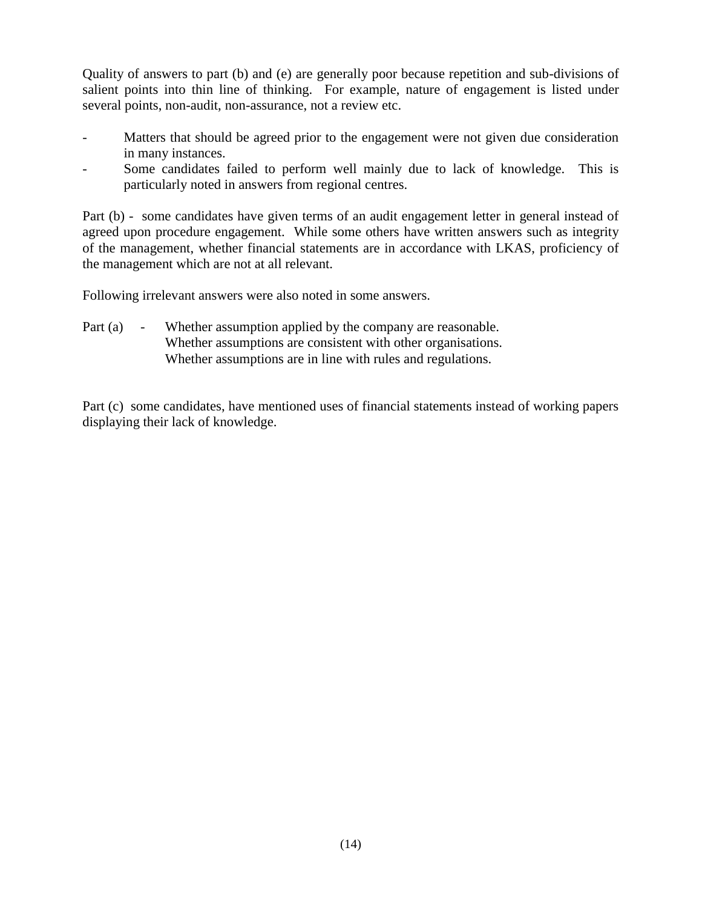Quality of answers to part (b) and (e) are generally poor because repetition and sub-divisions of salient points into thin line of thinking. For example, nature of engagement is listed under several points, non-audit, non-assurance, not a review etc.

- Matters that should be agreed prior to the engagement were not given due consideration in many instances.
- Some candidates failed to perform well mainly due to lack of knowledge. This is particularly noted in answers from regional centres.

Part (b) - some candidates have given terms of an audit engagement letter in general instead of agreed upon procedure engagement. While some others have written answers such as integrity of the management, whether financial statements are in accordance with LKAS, proficiency of the management which are not at all relevant.

Following irrelevant answers were also noted in some answers.

Part (a) - Whether assumption applied by the company are reasonable. Whether assumptions are consistent with other organisations. Whether assumptions are in line with rules and regulations.

Part (c) some candidates, have mentioned uses of financial statements instead of working papers displaying their lack of knowledge.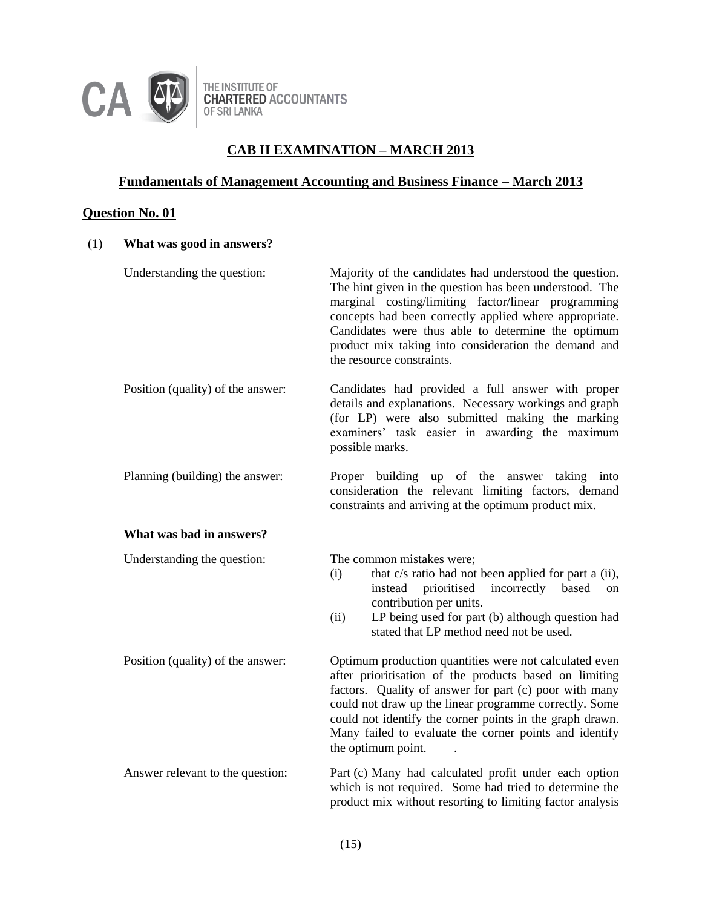

THE INSTITUTE OF<br>CHARTERED ACCOUNTANTS<br>OF SRI LANKA

# **CAB II EXAMINATION – MARCH 2013**

# **Fundamentals of Management Accounting and Business Finance – March 2013**

# **Question No. 01**

| (1) | What was good in answers?         |                                                                                                                                                                                                                                                                                                                                                                                  |
|-----|-----------------------------------|----------------------------------------------------------------------------------------------------------------------------------------------------------------------------------------------------------------------------------------------------------------------------------------------------------------------------------------------------------------------------------|
|     | Understanding the question:       | Majority of the candidates had understood the question.<br>The hint given in the question has been understood. The<br>marginal costing/limiting factor/linear programming<br>concepts had been correctly applied where appropriate.<br>Candidates were thus able to determine the optimum<br>product mix taking into consideration the demand and<br>the resource constraints.   |
|     | Position (quality) of the answer: | Candidates had provided a full answer with proper<br>details and explanations. Necessary workings and graph<br>(for LP) were also submitted making the marking<br>examiners' task easier in awarding the maximum<br>possible marks.                                                                                                                                              |
|     | Planning (building) the answer:   | Proper building up of the answer taking into<br>consideration the relevant limiting factors, demand<br>constraints and arriving at the optimum product mix.                                                                                                                                                                                                                      |
|     | What was bad in answers?          |                                                                                                                                                                                                                                                                                                                                                                                  |
|     | Understanding the question:       | The common mistakes were;<br>that c/s ratio had not been applied for part a (ii),<br>(i)<br>incorrectly based<br>instead<br>prioritised<br>on<br>contribution per units.<br>LP being used for part (b) although question had<br>(ii)<br>stated that LP method need not be used.                                                                                                  |
|     | Position (quality) of the answer: | Optimum production quantities were not calculated even<br>after prioritisation of the products based on limiting<br>factors. Quality of answer for part (c) poor with many<br>could not draw up the linear programme correctly. Some<br>could not identify the corner points in the graph drawn.<br>Many failed to evaluate the corner points and identify<br>the optimum point. |
|     | Answer relevant to the question:  | Part (c) Many had calculated profit under each option<br>which is not required. Some had tried to determine the<br>product mix without resorting to limiting factor analysis                                                                                                                                                                                                     |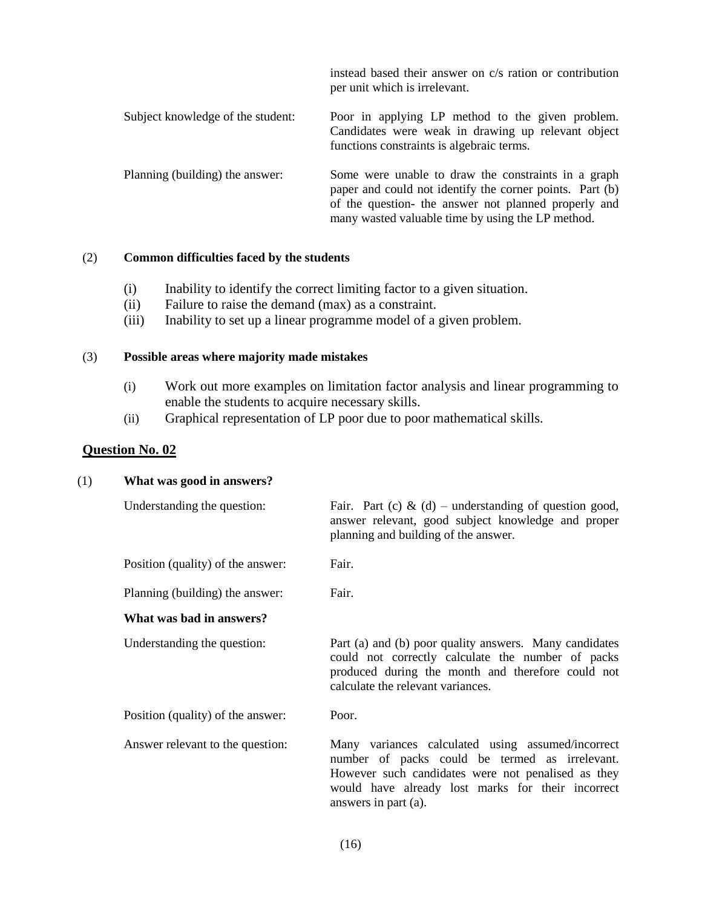|                                   | instead based their answer on c/s ration or contribution<br>per unit which is irrelevant.                                                                                                                                    |
|-----------------------------------|------------------------------------------------------------------------------------------------------------------------------------------------------------------------------------------------------------------------------|
| Subject knowledge of the student: | Poor in applying LP method to the given problem.<br>Candidates were weak in drawing up relevant object<br>functions constraints is algebraic terms.                                                                          |
| Planning (building) the answer:   | Some were unable to draw the constraints in a graph<br>paper and could not identify the corner points. Part (b)<br>of the question- the answer not planned properly and<br>many wasted valuable time by using the LP method. |

### (2) **Common difficulties faced by the students**

- (i) Inability to identify the correct limiting factor to a given situation.
- (ii) Failure to raise the demand (max) as a constraint.
- (iii) Inability to set up a linear programme model of a given problem.

### (3) **Possible areas where majority made mistakes**

- (i) Work out more examples on limitation factor analysis and linear programming to enable the students to acquire necessary skills.
- (ii) Graphical representation of LP poor due to poor mathematical skills.

# **Question No. 02**

### (1) **What was good in answers?**

| Understanding the question:       | Fair. Part (c) $\&$ (d) – understanding of question good,<br>answer relevant, good subject knowledge and proper<br>planning and building of the answer.                                                                                |
|-----------------------------------|----------------------------------------------------------------------------------------------------------------------------------------------------------------------------------------------------------------------------------------|
| Position (quality) of the answer: | Fair.                                                                                                                                                                                                                                  |
| Planning (building) the answer:   | Fair.                                                                                                                                                                                                                                  |
| What was bad in answers?          |                                                                                                                                                                                                                                        |
| Understanding the question:       | Part (a) and (b) poor quality answers. Many candidates<br>could not correctly calculate the number of packs<br>produced during the month and therefore could not<br>calculate the relevant variances.                                  |
| Position (quality) of the answer: | Poor.                                                                                                                                                                                                                                  |
| Answer relevant to the question:  | Many variances calculated using assumed/incorrect<br>number of packs could be termed as irrelevant.<br>However such candidates were not penalised as they<br>would have already lost marks for their incorrect<br>answers in part (a). |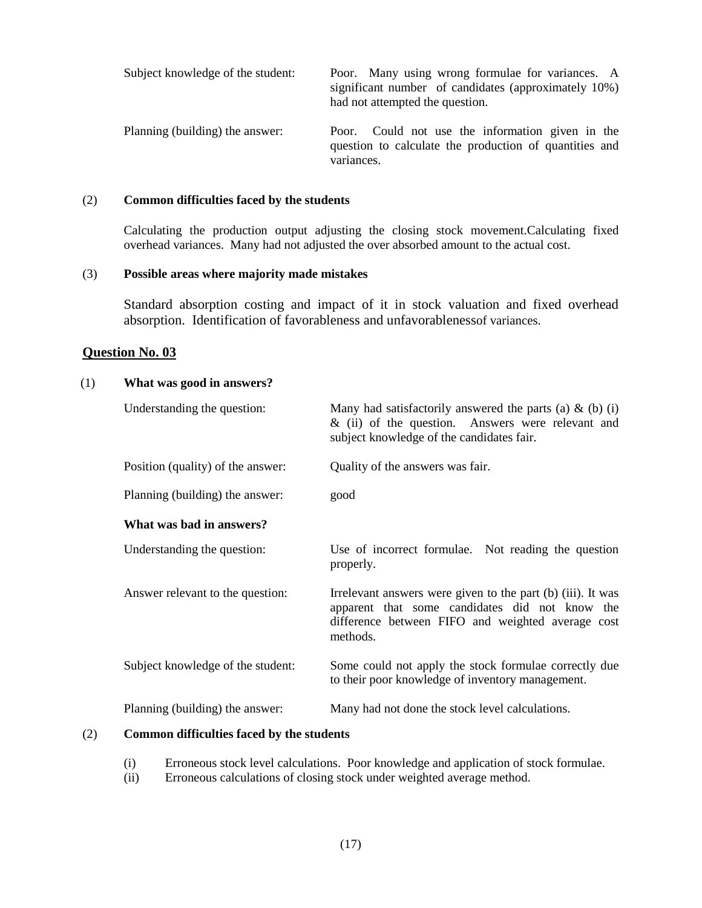| Subject knowledge of the student: | Poor. Many using wrong formulae for variances. A<br>significant number of candidates (approximately 10%)<br>had not attempted the question. |
|-----------------------------------|---------------------------------------------------------------------------------------------------------------------------------------------|
| Planning (building) the answer:   | Poor. Could not use the information given in the<br>question to calculate the production of quantities and<br>variances.                    |

#### (2) **Common difficulties faced by the students**

Calculating the production output adjusting the closing stock movement.Calculating fixed overhead variances. Many had not adjusted the over absorbed amount to the actual cost.

#### (3) **Possible areas where majority made mistakes**

Standard absorption costing and impact of it in stock valuation and fixed overhead absorption. Identification of favorableness and unfavorablenessof variances.

#### **Question No. 03**

#### (1) **What was good in answers?**

| Understanding the question:       | Many had satisfactorily answered the parts (a) $\&$ (b) (i)<br>$\&$ (ii) of the question. Answers were relevant and<br>subject knowledge of the candidates fair.               |  |
|-----------------------------------|--------------------------------------------------------------------------------------------------------------------------------------------------------------------------------|--|
| Position (quality) of the answer: | Quality of the answers was fair.                                                                                                                                               |  |
| Planning (building) the answer:   | good                                                                                                                                                                           |  |
| What was bad in answers?          |                                                                                                                                                                                |  |
| Understanding the question:       | Use of incorrect formulae. Not reading the question<br>properly.                                                                                                               |  |
| Answer relevant to the question:  | Irrelevant answers were given to the part (b) (iii). It was<br>apparent that some candidates did not know the<br>difference between FIFO and weighted average cost<br>methods. |  |
| Subject knowledge of the student: | Some could not apply the stock formulae correctly due<br>to their poor knowledge of inventory management.                                                                      |  |
| Planning (building) the answer:   | Many had not done the stock level calculations.                                                                                                                                |  |

#### (2) **Common difficulties faced by the students**

- (i) Erroneous stock level calculations. Poor knowledge and application of stock formulae.
- (ii) Erroneous calculations of closing stock under weighted average method.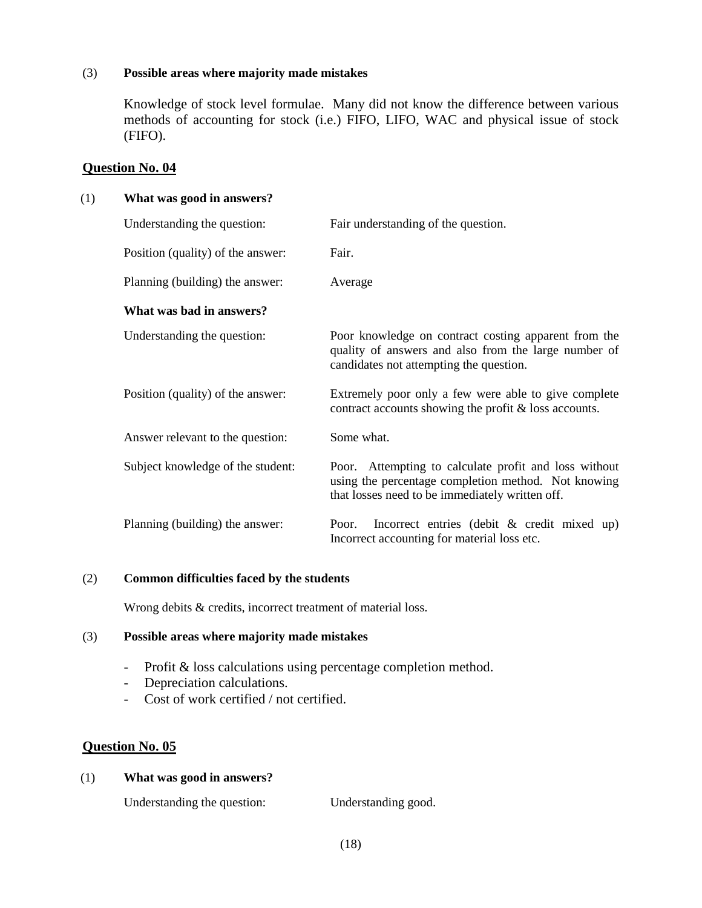### (3) **Possible areas where majority made mistakes**

Knowledge of stock level formulae. Many did not know the difference between various methods of accounting for stock (i.e.) FIFO, LIFO, WAC and physical issue of stock (FIFO).

### **Question No. 04**

### (1) **What was good in answers?**

| Understanding the question:       | Fair understanding of the question.                                                                                                                             |
|-----------------------------------|-----------------------------------------------------------------------------------------------------------------------------------------------------------------|
| Position (quality) of the answer: | Fair.                                                                                                                                                           |
| Planning (building) the answer:   | Average                                                                                                                                                         |
| What was bad in answers?          |                                                                                                                                                                 |
| Understanding the question:       | Poor knowledge on contract costing apparent from the<br>quality of answers and also from the large number of<br>candidates not attempting the question.         |
| Position (quality) of the answer: | Extremely poor only a few were able to give complete<br>contract accounts showing the profit & loss accounts.                                                   |
| Answer relevant to the question:  | Some what.                                                                                                                                                      |
| Subject knowledge of the student: | Poor. Attempting to calculate profit and loss without<br>using the percentage completion method. Not knowing<br>that losses need to be immediately written off. |
| Planning (building) the answer:   | Incorrect entries (debit $\&$ credit mixed up)<br>Poor.<br>Incorrect accounting for material loss etc.                                                          |

### (2) **Common difficulties faced by the students**

Wrong debits & credits, incorrect treatment of material loss.

### (3) **Possible areas where majority made mistakes**

- Profit & loss calculations using percentage completion method.
- Depreciation calculations.
- Cost of work certified / not certified.

# **Question No. 05**

# (1) **What was good in answers?**

Understanding the question: Understanding good.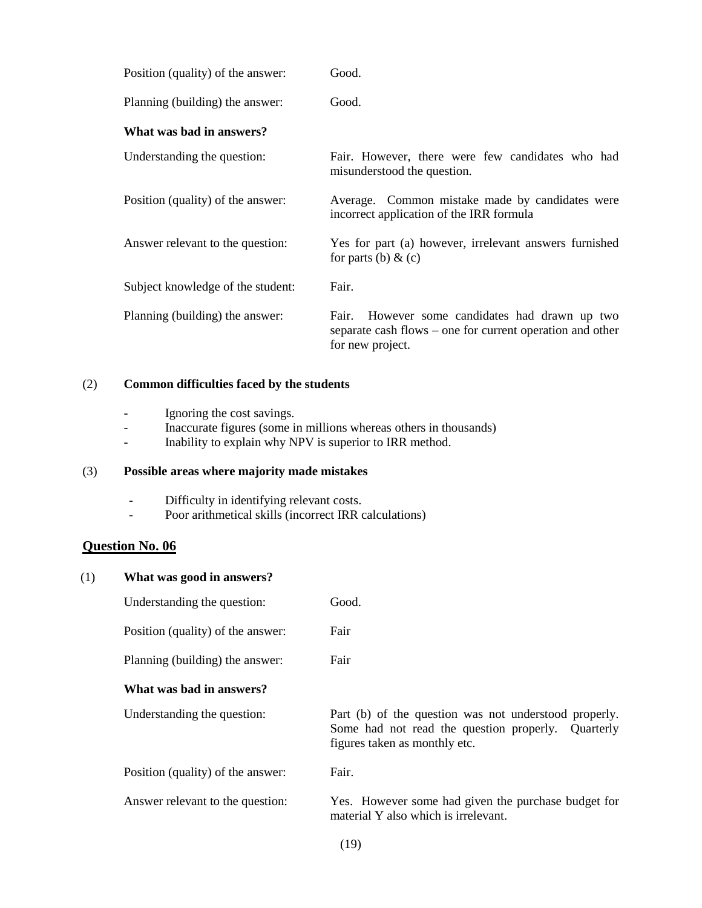| Position (quality) of the answer: | Good.                                                                                                                              |
|-----------------------------------|------------------------------------------------------------------------------------------------------------------------------------|
| Planning (building) the answer:   | Good.                                                                                                                              |
| What was bad in answers?          |                                                                                                                                    |
| Understanding the question:       | Fair. However, there were few candidates who had<br>misunderstood the question.                                                    |
| Position (quality) of the answer: | Average. Common mistake made by candidates were<br>incorrect application of the IRR formula                                        |
| Answer relevant to the question:  | Yes for part (a) however, irrelevant answers furnished<br>for parts (b) $\&$ (c)                                                   |
| Subject knowledge of the student: | Fair.                                                                                                                              |
| Planning (building) the answer:   | However some candidates had drawn up two<br>Fair.<br>separate cash flows – one for current operation and other<br>for new project. |

#### (2) **Common difficulties faced by the students**

- Ignoring the cost savings.
- Inaccurate figures (some in millions whereas others in thousands)
- Inability to explain why NPV is superior to IRR method.

#### (3) **Possible areas where majority made mistakes**

- Difficulty in identifying relevant costs.
- Poor arithmetical skills (incorrect IRR calculations)

### **Question No. 06**

# (1) **What was good in answers?** Understanding the question: Good. Position (quality) of the answer: Fair Planning (building) the answer: Fair **What was bad in answers?** Understanding the question: Part (b) of the question was not understood properly. Some had not read the question properly. Quarterly figures taken as monthly etc. Position (quality) of the answer: Fair. Answer relevant to the question: Yes. However some had given the purchase budget for material Y also which is irrelevant.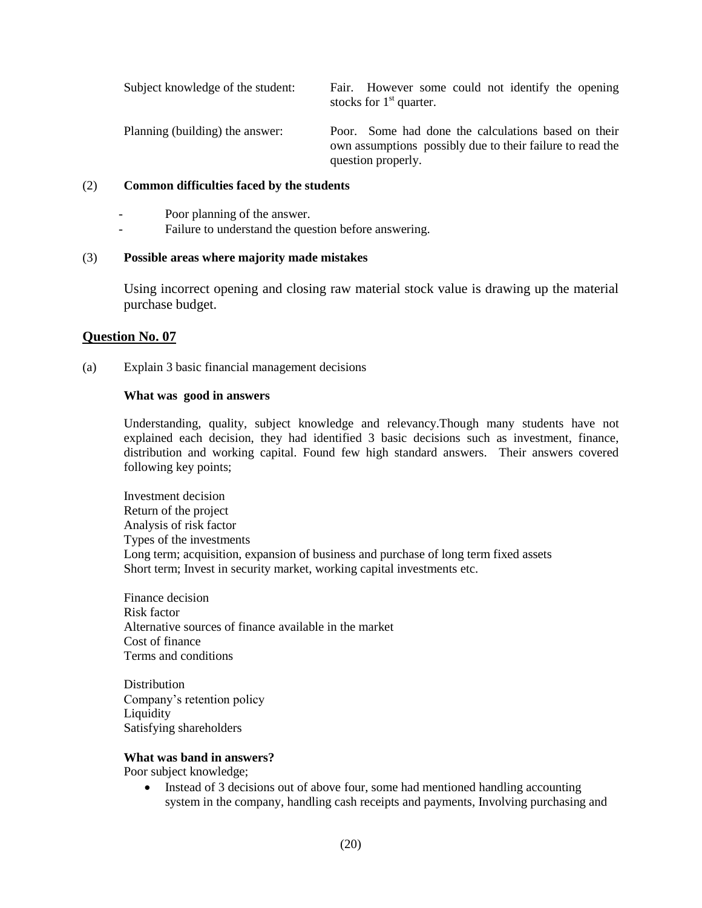Subject knowledge of the student: Fair. However some could not identify the opening stocks for  $1<sup>st</sup>$  quarter. Planning (building) the answer: Poor. Some had done the calculations based on their own assumptions possibly due to their failure to read the question properly.

#### (2) **Common difficulties faced by the students**

Poor planning of the answer.

Failure to understand the question before answering.

#### (3) **Possible areas where majority made mistakes**

Using incorrect opening and closing raw material stock value is drawing up the material purchase budget.

#### **Question No. 07**

(a) Explain 3 basic financial management decisions

#### **What was good in answers**

Understanding, quality, subject knowledge and relevancy.Though many students have not explained each decision, they had identified 3 basic decisions such as investment, finance, distribution and working capital. Found few high standard answers. Their answers covered following key points;

Investment decision Return of the project Analysis of risk factor Types of the investments Long term; acquisition, expansion of business and purchase of long term fixed assets Short term; Invest in security market, working capital investments etc.

Finance decision Risk factor Alternative sources of finance available in the market Cost of finance Terms and conditions

**Distribution** Company's retention policy **Liquidity** Satisfying shareholders

#### **What was band in answers?**

Poor subject knowledge;

• Instead of 3 decisions out of above four, some had mentioned handling accounting system in the company, handling cash receipts and payments, Involving purchasing and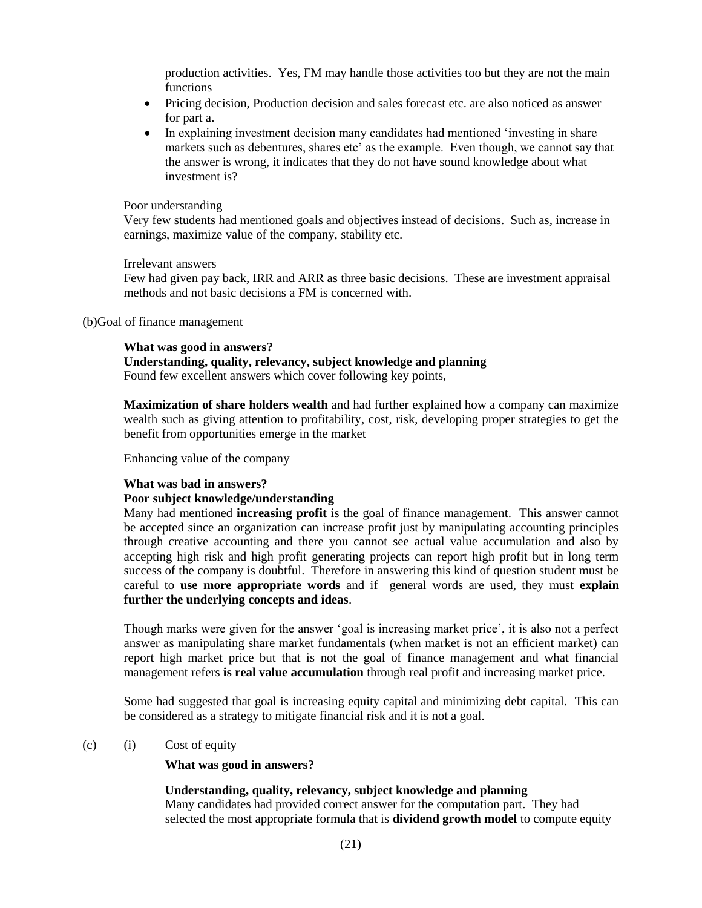production activities. Yes, FM may handle those activities too but they are not the main functions

- Pricing decision, Production decision and sales forecast etc. are also noticed as answer for part a.
- In explaining investment decision many candidates had mentioned 'investing in share markets such as debentures, shares etc' as the example. Even though, we cannot say that the answer is wrong, it indicates that they do not have sound knowledge about what investment is?

#### Poor understanding

Very few students had mentioned goals and objectives instead of decisions. Such as, increase in earnings, maximize value of the company, stability etc.

#### Irrelevant answers

Few had given pay back, IRR and ARR as three basic decisions. These are investment appraisal methods and not basic decisions a FM is concerned with.

#### (b)Goal of finance management

#### **What was good in answers?**

### **Understanding, quality, relevancy, subject knowledge and planning**

Found few excellent answers which cover following key points,

**Maximization of share holders wealth** and had further explained how a company can maximize wealth such as giving attention to profitability, cost, risk, developing proper strategies to get the benefit from opportunities emerge in the market

Enhancing value of the company

#### **What was bad in answers?**

### **Poor subject knowledge/understanding**

Many had mentioned **increasing profit** is the goal of finance management. This answer cannot be accepted since an organization can increase profit just by manipulating accounting principles through creative accounting and there you cannot see actual value accumulation and also by accepting high risk and high profit generating projects can report high profit but in long term success of the company is doubtful. Therefore in answering this kind of question student must be careful to **use more appropriate words** and if general words are used, they must **explain further the underlying concepts and ideas**.

Though marks were given for the answer 'goal is increasing market price', it is also not a perfect answer as manipulating share market fundamentals (when market is not an efficient market) can report high market price but that is not the goal of finance management and what financial management refers **is real value accumulation** through real profit and increasing market price.

Some had suggested that goal is increasing equity capital and minimizing debt capital. This can be considered as a strategy to mitigate financial risk and it is not a goal.

#### (c) (i) Cost of equity

**What was good in answers?**

#### **Understanding, quality, relevancy, subject knowledge and planning**

Many candidates had provided correct answer for the computation part. They had selected the most appropriate formula that is **dividend growth model** to compute equity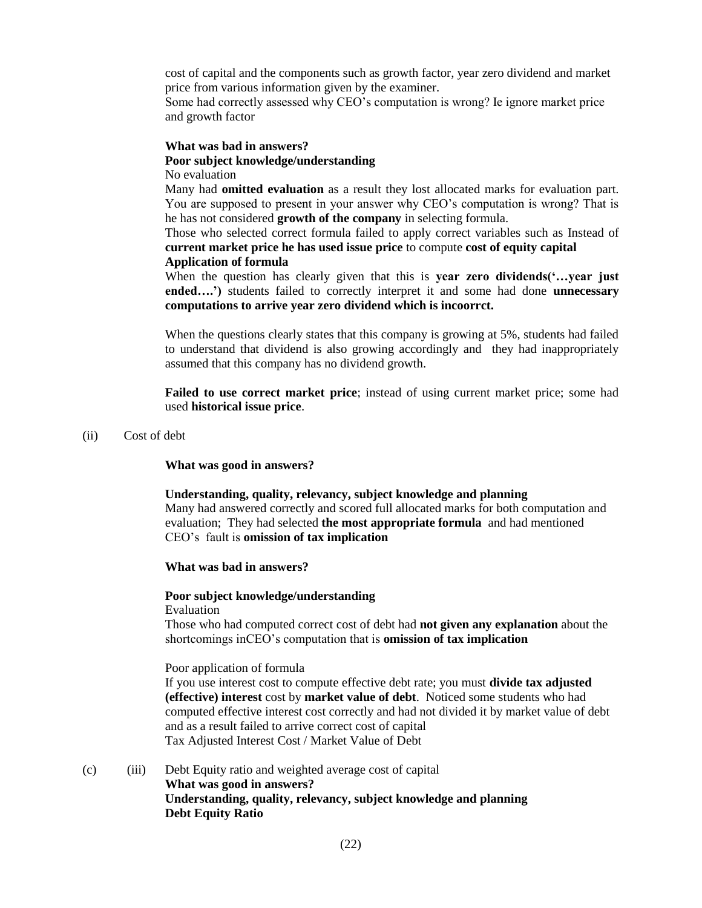cost of capital and the components such as growth factor, year zero dividend and market price from various information given by the examiner.

Some had correctly assessed why CEO's computation is wrong? Ie ignore market price and growth factor

#### **What was bad in answers?**

#### **Poor subject knowledge/understanding**

No evaluation

Many had **omitted evaluation** as a result they lost allocated marks for evaluation part. You are supposed to present in your answer why CEO's computation is wrong? That is he has not considered **growth of the company** in selecting formula.

Those who selected correct formula failed to apply correct variables such as Instead of **current market price he has used issue price** to compute **cost of equity capital Application of formula**

When the question has clearly given that this is **year zero dividends('…year just ended….')** students failed to correctly interpret it and some had done **unnecessary computations to arrive year zero dividend which is incoorrct.**

When the questions clearly states that this company is growing at 5%, students had failed to understand that dividend is also growing accordingly and they had inappropriately assumed that this company has no dividend growth.

**Failed to use correct market price**; instead of using current market price; some had used **historical issue price**.

(ii) Cost of debt

**What was good in answers?**

#### **Understanding, quality, relevancy, subject knowledge and planning**

Many had answered correctly and scored full allocated marks for both computation and evaluation; They had selected **the most appropriate formula** and had mentioned CEO's fault is **omission of tax implication**

#### **What was bad in answers?**

#### **Poor subject knowledge/understanding**

Evaluation

Those who had computed correct cost of debt had **not given any explanation** about the shortcomings inCEO's computation that is **omission of tax implication**

#### Poor application of formula

If you use interest cost to compute effective debt rate; you must **divide tax adjusted (effective) interest** cost by **market value of debt**. Noticed some students who had computed effective interest cost correctly and had not divided it by market value of debt and as a result failed to arrive correct cost of capital Tax Adjusted Interest Cost / Market Value of Debt

(c) (iii) Debt Equity ratio and weighted average cost of capital **What was good in answers? Understanding, quality, relevancy, subject knowledge and planning Debt Equity Ratio**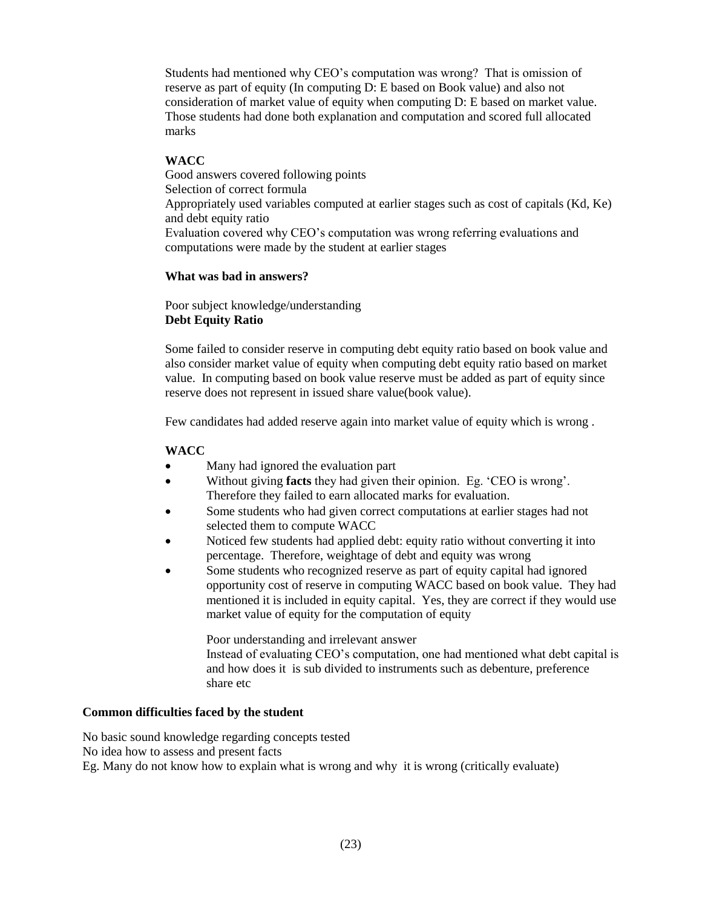Students had mentioned why CEO's computation was wrong? That is omission of reserve as part of equity (In computing D: E based on Book value) and also not consideration of market value of equity when computing D: E based on market value. Those students had done both explanation and computation and scored full allocated marks

# **WACC**

Good answers covered following points Selection of correct formula Appropriately used variables computed at earlier stages such as cost of capitals (Kd, Ke) and debt equity ratio Evaluation covered why CEO's computation was wrong referring evaluations and computations were made by the student at earlier stages

# **What was bad in answers?**

Poor subject knowledge/understanding **Debt Equity Ratio**

Some failed to consider reserve in computing debt equity ratio based on book value and also consider market value of equity when computing debt equity ratio based on market value. In computing based on book value reserve must be added as part of equity since reserve does not represent in issued share value(book value).

Few candidates had added reserve again into market value of equity which is wrong .

### **WACC**

- Many had ignored the evaluation part
- Without giving **facts** they had given their opinion. Eg. 'CEO is wrong'. Therefore they failed to earn allocated marks for evaluation.
- Some students who had given correct computations at earlier stages had not selected them to compute WACC
- Noticed few students had applied debt: equity ratio without converting it into percentage. Therefore, weightage of debt and equity was wrong
- Some students who recognized reserve as part of equity capital had ignored opportunity cost of reserve in computing WACC based on book value. They had mentioned it is included in equity capital. Yes, they are correct if they would use market value of equity for the computation of equity

Poor understanding and irrelevant answer Instead of evaluating CEO's computation, one had mentioned what debt capital is and how does it is sub divided to instruments such as debenture, preference share etc

# **Common difficulties faced by the student**

No basic sound knowledge regarding concepts tested No idea how to assess and present facts Eg. Many do not know how to explain what is wrong and why it is wrong (critically evaluate)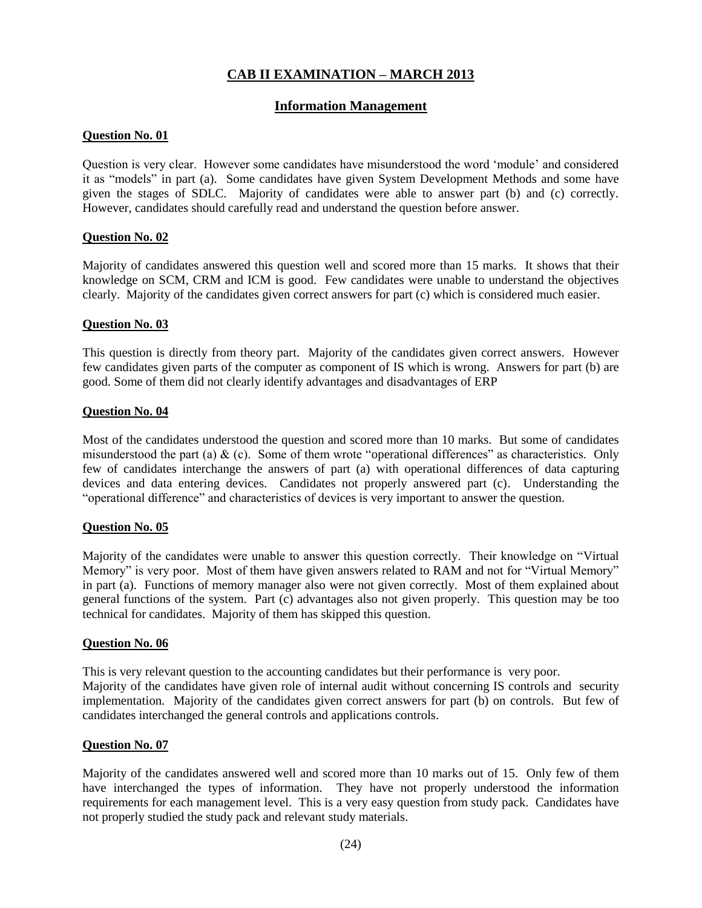# **CAB II EXAMINATION – MARCH 2013**

### **Information Management**

### **Question No. 01**

Question is very clear. However some candidates have misunderstood the word 'module' and considered it as "models" in part (a). Some candidates have given System Development Methods and some have given the stages of SDLC. Majority of candidates were able to answer part (b) and (c) correctly. However, candidates should carefully read and understand the question before answer.

### **Question No. 02**

Majority of candidates answered this question well and scored more than 15 marks. It shows that their knowledge on SCM, CRM and ICM is good. Few candidates were unable to understand the objectives clearly. Majority of the candidates given correct answers for part (c) which is considered much easier.

#### **Question No. 03**

This question is directly from theory part. Majority of the candidates given correct answers. However few candidates given parts of the computer as component of IS which is wrong. Answers for part (b) are good. Some of them did not clearly identify advantages and disadvantages of ERP

#### **Question No. 04**

Most of the candidates understood the question and scored more than 10 marks. But some of candidates misunderstood the part (a)  $\&$  (c). Some of them wrote "operational differences" as characteristics. Only few of candidates interchange the answers of part (a) with operational differences of data capturing devices and data entering devices. Candidates not properly answered part (c). Understanding the "operational difference" and characteristics of devices is very important to answer the question.

### **Question No. 05**

Majority of the candidates were unable to answer this question correctly. Their knowledge on "Virtual Memory" is very poor. Most of them have given answers related to RAM and not for "Virtual Memory" in part (a). Functions of memory manager also were not given correctly. Most of them explained about general functions of the system. Part (c) advantages also not given properly. This question may be too technical for candidates. Majority of them has skipped this question.

#### **Question No. 06**

This is very relevant question to the accounting candidates but their performance is very poor. Majority of the candidates have given role of internal audit without concerning IS controls and security implementation. Majority of the candidates given correct answers for part (b) on controls. But few of candidates interchanged the general controls and applications controls.

### **Question No. 07**

Majority of the candidates answered well and scored more than 10 marks out of 15. Only few of them have interchanged the types of information. They have not properly understood the information requirements for each management level. This is a very easy question from study pack. Candidates have not properly studied the study pack and relevant study materials.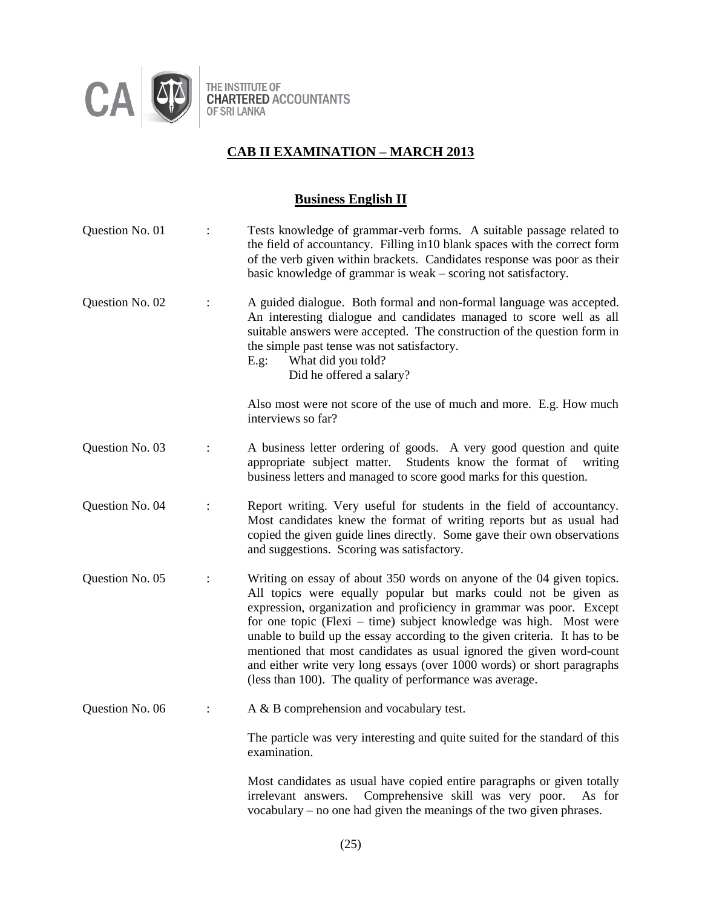

THE INSTITUTE OF<br>CHARTERED ACCOUNTANTS<br>OF SRI LANKA

# **CAB II EXAMINATION – MARCH 2013**

# **Business English II**

| Question No. 01 |                | Tests knowledge of grammar-verb forms. A suitable passage related to<br>the field of accountancy. Filling in 10 blank spaces with the correct form<br>of the verb given within brackets. Candidates response was poor as their<br>basic knowledge of grammar is weak - scoring not satisfactory.                                                                                                                                                                                                                                                                                    |
|-----------------|----------------|-------------------------------------------------------------------------------------------------------------------------------------------------------------------------------------------------------------------------------------------------------------------------------------------------------------------------------------------------------------------------------------------------------------------------------------------------------------------------------------------------------------------------------------------------------------------------------------|
| Question No. 02 | $\ddot{\cdot}$ | A guided dialogue. Both formal and non-formal language was accepted.<br>An interesting dialogue and candidates managed to score well as all<br>suitable answers were accepted. The construction of the question form in<br>the simple past tense was not satisfactory.<br>What did you told?<br>E.g.<br>Did he offered a salary?                                                                                                                                                                                                                                                    |
|                 |                | Also most were not score of the use of much and more. E.g. How much<br>interviews so far?                                                                                                                                                                                                                                                                                                                                                                                                                                                                                           |
| Question No. 03 | $\ddot{\cdot}$ | A business letter ordering of goods. A very good question and quite<br>appropriate subject matter.<br>Students know the format of writing<br>business letters and managed to score good marks for this question.                                                                                                                                                                                                                                                                                                                                                                    |
| Question No. 04 | $\ddot{\cdot}$ | Report writing. Very useful for students in the field of accountancy.<br>Most candidates knew the format of writing reports but as usual had<br>copied the given guide lines directly. Some gave their own observations<br>and suggestions. Scoring was satisfactory.                                                                                                                                                                                                                                                                                                               |
| Question No. 05 |                | Writing on essay of about 350 words on anyone of the 04 given topics.<br>All topics were equally popular but marks could not be given as<br>expression, organization and proficiency in grammar was poor. Except<br>for one topic (Flexi – time) subject knowledge was high. Most were<br>unable to build up the essay according to the given criteria. It has to be<br>mentioned that most candidates as usual ignored the given word-count<br>and either write very long essays (over 1000 words) or short paragraphs<br>(less than 100). The quality of performance was average. |
| Question No. 06 |                | A & B comprehension and vocabulary test.                                                                                                                                                                                                                                                                                                                                                                                                                                                                                                                                            |
|                 |                | The particle was very interesting and quite suited for the standard of this<br>examination.                                                                                                                                                                                                                                                                                                                                                                                                                                                                                         |
|                 |                | Most candidates as usual have copied entire paragraphs or given totally<br>Comprehensive skill was very poor.<br>irrelevant answers.<br>As for<br>vocabulary – no one had given the meanings of the two given phrases.                                                                                                                                                                                                                                                                                                                                                              |